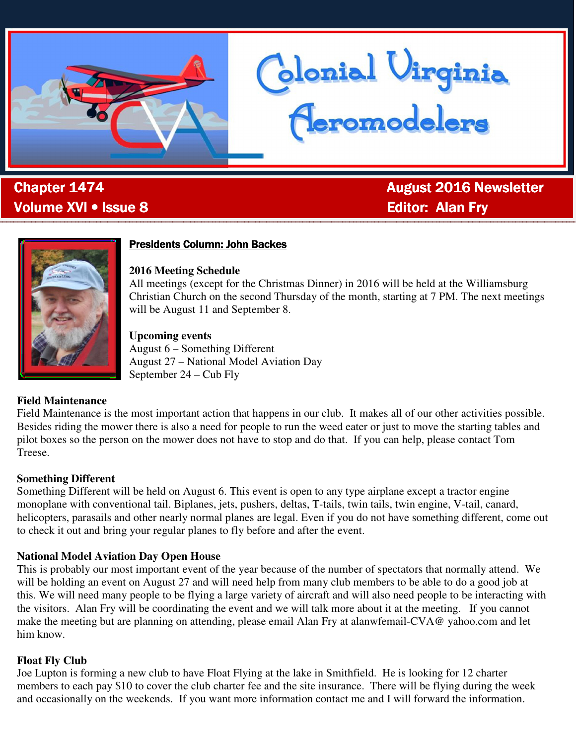

. Volume XVI • Issue 8 **Editor: Alan Fry Alan Fry Alan Fry Alan Fry** 

**Chapter 1474 Chapter 1474 August 2016 Newsletter August 2016 Newsletter** 



# **Presidents Column: John Backes**

#### **2016 Meeting Schedule**

All meetings (except for the Christmas Dinner) in 2016 will be held at the Williamsburg Christian Church on the second Thursday of the month, starting at 7 PM. The next meetings will be August 11 and September 8.

donial Virginia<br>Ceromodelers

#### **Upcoming events**

August 6 – Something Different August 27 – National Model Aviation Day September 24 – Cub Fly

## **Field Maintenance**

Field Maintenance is the most important action that happens in our club. It makes all of our other activities possible. Besides riding the mower there is also a need for people to run the weed eater or just to move the starting tables and pilot boxes so the person on the mower does not have to stop and do that. If you can help, please contact Tom Treese.

#### **Something Different**

Something Different will be held on August 6. This event is open to any type airplane except a tractor engine monoplane with conventional tail. Biplanes, jets, pushers, deltas, T-tails, twin tails, twin engine, V-tail, canard, helicopters, parasails and other nearly normal planes are legal. Even if you do not have something different, come out to check it out and bring your regular planes to fly before and after the event.

## **National Model Aviation Day Open House**

This is probably our most important event of the year because of the number of spectators that normally attend. We will be holding an event on August 27 and will need help from many club members to be able to do a good job at this. We will need many people to be flying a large variety of aircraft and will also need people to be interacting with the visitors. Alan Fry will be coordinating the event and we will talk more about it at the meeting. If you cannot make the meeting but are planning on attending, please email Alan Fry at alanwfemail-CVA@ yahoo.com and let him know.

## **Float Fly Club**

Joe Lupton is forming a new club to have Float Flying at the lake in Smithfield. He is looking for 12 charter members to each pay \$10 to cover the club charter fee and the site insurance. There will be flying during the week and occasionally on the weekends. If you want more information contact me and I will forward the information.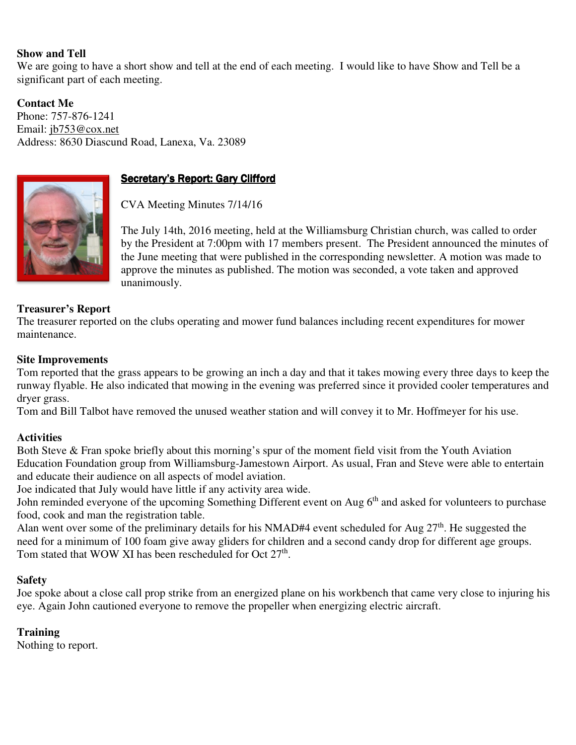## **Show and Tell**

We are going to have a short show and tell at the end of each meeting. I would like to have Show and Tell be a significant part of each meeting.

**Contact Me**  Phone: 757-876-1241 Email: jb753@cox.net Address: 8630 Diascund Road, Lanexa, Va. 23089



# Secretary's Report: Gary Clifford

CVA Meeting Minutes 7/14/16

The July 14th, 2016 meeting, held at the Williamsburg Christian church, was called to order by the President at 7:00pm with 17 members present. The President announced the minutes of the June meeting that were published in the corresponding newsletter. A motion was made to approve the minutes as published. The motion was seconded, a vote taken and approved unanimously.

## **Treasurer's Report**

The treasurer reported on the clubs operating and mower fund balances including recent expenditures for mower maintenance.

#### **Site Improvements**

Tom reported that the grass appears to be growing an inch a day and that it takes mowing every three days to keep the runway flyable. He also indicated that mowing in the evening was preferred since it provided cooler temperatures and dryer grass.

Tom and Bill Talbot have removed the unused weather station and will convey it to Mr. Hoffmeyer for his use.

#### **Activities**

Both Steve & Fran spoke briefly about this morning's spur of the moment field visit from the Youth Aviation Education Foundation group from Williamsburg-Jamestown Airport. As usual, Fran and Steve were able to entertain and educate their audience on all aspects of model aviation.

Joe indicated that July would have little if any activity area wide.

John reminded everyone of the upcoming Something Different event on Aug 6<sup>th</sup> and asked for volunteers to purchase food, cook and man the registration table.

Alan went over some of the preliminary details for his NMAD#4 event scheduled for Aug  $27<sup>th</sup>$ . He suggested the need for a minimum of 100 foam give away gliders for children and a second candy drop for different age groups. Tom stated that WOW XI has been rescheduled for Oct  $27<sup>th</sup>$ .

#### **Safety**

Joe spoke about a close call prop strike from an energized plane on his workbench that came very close to injuring his eye. Again John cautioned everyone to remove the propeller when energizing electric aircraft.

## **Training**

Nothing to report.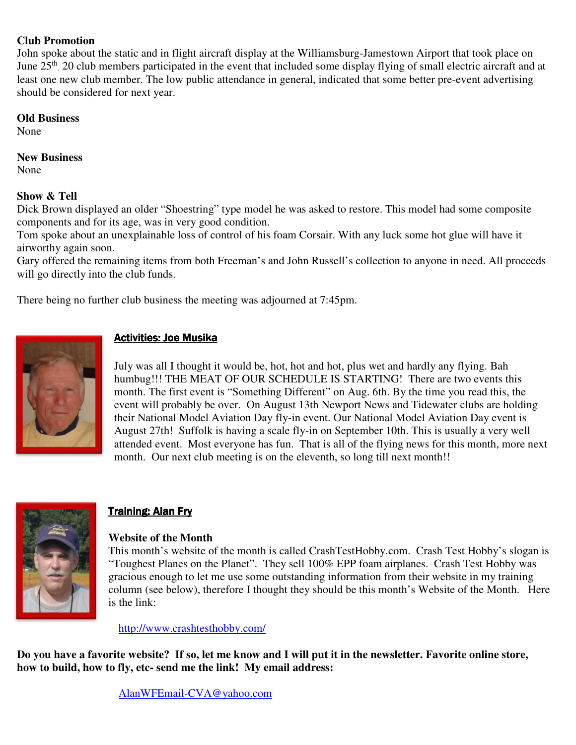## **Club Promotion**

John spoke about the static and in flight aircraft display at the Williamsburg-Jamestown Airport that took place on June 25<sup>th</sup>. 20 club members participated in the event that included some display flying of small electric aircraft and at least one new club member. The low public attendance in general, indicated that some better pre-event advertising should be considered for next year.

#### **Old Business**

None

## **New Business**

None

# **Show & Tell**

Dick Brown displayed an older "Shoestring" type model he was asked to restore. This model had some composite components and for its age, was in very good condition.

Tom spoke about an unexplainable loss of control of his foam Corsair. With any luck some hot glue will have it airworthy again soon.

Gary offered the remaining items from both Freeman's and John Russell's collection to anyone in need. All proceeds will go directly into the club funds.

There being no further club business the meeting was adjourned at 7:45pm.



# Activities: Joe Musika

July was all I thought it would be, hot, hot and hot, plus wet and hardly any flying. Bah humbug!!! THE MEAT OF OUR SCHEDULE IS STARTING! There are two events this month. The first event is "Something Different" on Aug. 6th. By the time you read this, the event will probably be over. On August 13th Newport News and Tidewater clubs are holding their National Model Aviation Day fly-in event. Our National Model Aviation Day event is August 27th! Suffolk is having a scale fly-in on September 10th. This is usually a very well attended event. Most everyone has fun. That is all of the flying news for this month, more next month. Our next club meeting is on the eleventh, so long till next month!!



# Training: Alan Fry

## **Website of the Month**

This month's website of the month is called CrashTestHobby.com. Crash Test Hobby's slogan is "Toughest Planes on the Planet". They sell 100% EPP foam airplanes. Crash Test Hobby was gracious enough to let me use some outstanding information from their website in my training column (see below), therefore I thought they should be this month's Website of the Month. Here is the link:

http://www.crashtesthobby.com/

**Do you have a favorite website? If so, let me know and I will put it in the newsletter. Favorite online store, how to build, how to fly, etc- send me the link! My email address:** 

AlanWFEmail-CVA@yahoo.com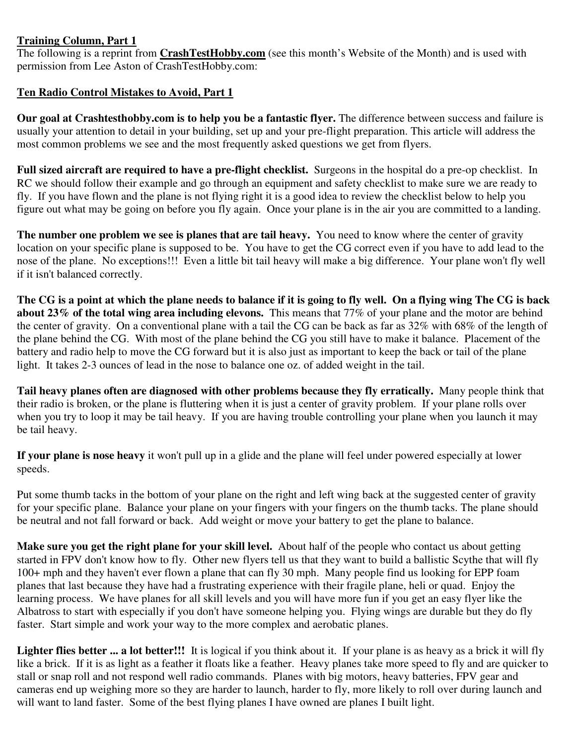## **Training Column, Part 1**

The following is a reprint from **CrashTestHobby.com** (see this month's Website of the Month) and is used with permission from Lee Aston of CrashTestHobby.com:

# **Ten Radio Control Mistakes to Avoid, Part 1**

**Our goal at Crashtesthobby.com is to help you be a fantastic flyer.** The difference between success and failure is usually your attention to detail in your building, set up and your pre-flight preparation. This article will address the most common problems we see and the most frequently asked questions we get from flyers.

**Full sized aircraft are required to have a pre-flight checklist.** Surgeons in the hospital do a pre-op checklist. In RC we should follow their example and go through an equipment and safety checklist to make sure we are ready to fly. If you have flown and the plane is not flying right it is a good idea to review the checklist below to help you figure out what may be going on before you fly again. Once your plane is in the air you are committed to a landing.

**The number one problem we see is planes that are tail heavy.** You need to know where the center of gravity location on your specific plane is supposed to be. You have to get the CG correct even if you have to add lead to the nose of the plane. No exceptions!!! Even a little bit tail heavy will make a big difference. Your plane won't fly well if it isn't balanced correctly.

**The CG is a point at which the plane needs to balance if it is going to fly well. On a flying wing The CG is back about 23% of the total wing area including elevons.** This means that 77% of your plane and the motor are behind the center of gravity. On a conventional plane with a tail the CG can be back as far as 32% with 68% of the length of the plane behind the CG. With most of the plane behind the CG you still have to make it balance. Placement of the battery and radio help to move the CG forward but it is also just as important to keep the back or tail of the plane light. It takes 2-3 ounces of lead in the nose to balance one oz. of added weight in the tail.

**Tail heavy planes often are diagnosed with other problems because they fly erratically.** Many people think that their radio is broken, or the plane is fluttering when it is just a center of gravity problem. If your plane rolls over when you try to loop it may be tail heavy. If you are having trouble controlling your plane when you launch it may be tail heavy.

**If your plane is nose heavy** it won't pull up in a glide and the plane will feel under powered especially at lower speeds.

Put some thumb tacks in the bottom of your plane on the right and left wing back at the suggested center of gravity for your specific plane. Balance your plane on your fingers with your fingers on the thumb tacks. The plane should be neutral and not fall forward or back. Add weight or move your battery to get the plane to balance.

**Make sure you get the right plane for your skill level.** About half of the people who contact us about getting started in FPV don't know how to fly. Other new flyers tell us that they want to build a ballistic Scythe that will fly 100+ mph and they haven't ever flown a plane that can fly 30 mph. Many people find us looking for EPP foam planes that last because they have had a frustrating experience with their fragile plane, heli or quad. Enjoy the learning process. We have planes for all skill levels and you will have more fun if you get an easy flyer like the Albatross to start with especially if you don't have someone helping you. Flying wings are durable but they do fly faster. Start simple and work your way to the more complex and aerobatic planes.

**Lighter flies better ... a lot better!!!** It is logical if you think about it. If your plane is as heavy as a brick it will fly like a brick. If it is as light as a feather it floats like a feather. Heavy planes take more speed to fly and are quicker to stall or snap roll and not respond well radio commands. Planes with big motors, heavy batteries, FPV gear and cameras end up weighing more so they are harder to launch, harder to fly, more likely to roll over during launch and will want to land faster. Some of the best flying planes I have owned are planes I built light.